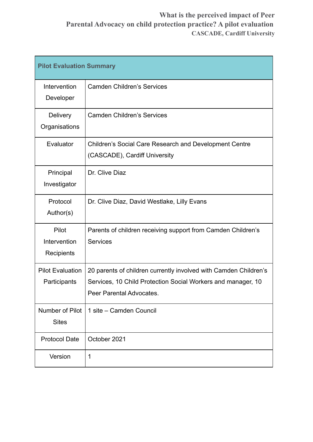# **What is the perceived impact of Peer Parental Advocacy on child protection practice? A pilot evaluation CASCADE, Cardiff University**

| <b>Pilot Evaluation Summary</b>         |                                                                                                                                                              |
|-----------------------------------------|--------------------------------------------------------------------------------------------------------------------------------------------------------------|
| Intervention<br>Developer               | <b>Camden Children's Services</b>                                                                                                                            |
| Delivery<br>Organisations               | <b>Camden Children's Services</b>                                                                                                                            |
| Evaluator                               | <b>Children's Social Care Research and Development Centre</b><br>(CASCADE), Cardiff University                                                               |
| Principal<br>Investigator               | Dr. Clive Diaz                                                                                                                                               |
| Protocol<br>Author(s)                   | Dr. Clive Diaz, David Westlake, Lilly Evans                                                                                                                  |
| Pilot<br>Intervention<br>Recipients     | Parents of children receiving support from Camden Children's<br><b>Services</b>                                                                              |
| <b>Pilot Evaluation</b><br>Participants | 20 parents of children currently involved with Camden Children's<br>Services, 10 Child Protection Social Workers and manager, 10<br>Peer Parental Advocates. |
| Number of Pilot<br><b>Sites</b>         | 1 site – Camden Council                                                                                                                                      |
| <b>Protocol Date</b>                    | October 2021                                                                                                                                                 |
| Version                                 | 1                                                                                                                                                            |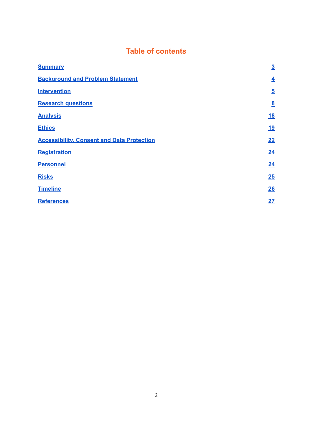# **Table of contents**

| <b>Summary</b>                                    | $\overline{3}$          |
|---------------------------------------------------|-------------------------|
| <b>Background and Problem Statement</b>           | $\overline{\mathbf{4}}$ |
| <b>Intervention</b>                               | $\overline{5}$          |
| <b>Research questions</b>                         | $\underline{8}$         |
| <b>Analysis</b>                                   | <u>18</u>               |
| <b>Ethics</b>                                     | <u>19</u>               |
| <b>Accessibility, Consent and Data Protection</b> | 22                      |
| <b>Registration</b>                               | 24                      |
| <b>Personnel</b>                                  | 24                      |
| <b>Risks</b>                                      | 25                      |
| <b>Timeline</b>                                   | 26                      |
| <b>References</b>                                 | 27                      |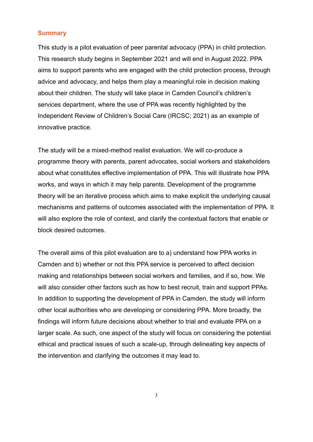### <span id="page-2-0"></span>**Summary**

This study is a pilot evaluation of peer parental advocacy (PPA) in child protection. This research study begins in September 2021 and will end in August 2022. PPA aims to support parents who are engaged with the child protection process, through advice and advocacy, and helps them play a meaningful role in decision making about their children. The study will take place in Camden Council's children's services department, where the use of PPA was recently highlighted by the Independent Review of Children's Social Care (IRCSC; 2021) as an example of innovative practice.

The study will be a mixed-method realist evaluation. We will co-produce a programme theory with parents, parent advocates, social workers and stakeholders about what constitutes effective implementation of PPA. This will illustrate how PPA works, and ways in which it may help parents. Development of the programme theory will be an iterative process which aims to make explicit the underlying causal mechanisms and patterns of outcomes associated with the implementation of PPA. It will also explore the role of context, and clarify the contextual factors that enable or block desired outcomes.

The overall aims of this pilot evaluation are to a) understand how PPA works in Camden and b) whether or not this PPA service is perceived to affect decision making and relationships between social workers and families, and if so, how. We will also consider other factors such as how to best recruit, train and support PPAs. In addition to supporting the development of PPA in Camden, the study will inform other local authorities who are developing or considering PPA. More broadly, the findings will inform future decisions about whether to trial and evaluate PPA on a larger scale. As such, one aspect of the study will focus on considering the potential ethical and practical issues of such a scale-up, through delineating key aspects of the intervention and clarifying the outcomes it may lead to.

3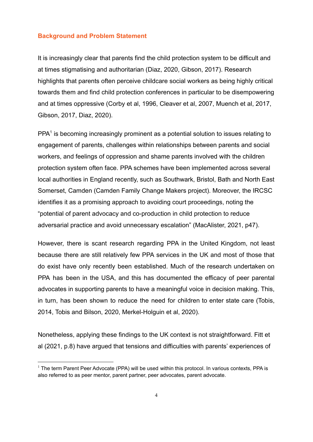#### <span id="page-3-0"></span>**Background and Problem Statement**

It is increasingly clear that parents find the child protection system to be difficult and at times stigmatising and authoritarian (Diaz, 2020, Gibson, 2017). Research highlights that parents often perceive childcare social workers as being highly critical towards them and find child protection conferences in particular to be disempowering and at times oppressive (Corby et al, 1996, Cleaver et al, 2007, Muench et al, 2017, Gibson, 2017, Diaz, 2020).

 $PPA<sup>1</sup>$  is becoming increasingly prominent as a potential solution to issues relating to engagement of parents, challenges within relationships between parents and social workers, and feelings of oppression and shame parents involved with the children protection system often face. PPA schemes have been implemented across several local authorities in England recently, such as Southwark, Bristol, Bath and North East Somerset, Camden (Camden Family Change Makers project). Moreover, the IRCSC identifies it as a promising approach to avoiding court proceedings, noting the "potential of parent advocacy and co-production in child protection to reduce adversarial practice and avoid unnecessary escalation" (MacAlister, 2021, p47).

However, there is scant research regarding PPA in the United Kingdom, not least because there are still relatively few PPA services in the UK and most of those that do exist have only recently been established. Much of the research undertaken on PPA has been in the USA, and this has documented the efficacy of peer parental advocates in supporting parents to have a meaningful voice in decision making. This, in turn, has been shown to reduce the need for children to enter state care (Tobis, 2014, Tobis and Bilson, 2020, Merkel-Holguin et al, 2020).

Nonetheless, applying these findings to the UK context is not straightforward. Fitt et al (2021, p.8) have argued that tensions and difficulties with parents' experiences of

 $<sup>1</sup>$  The term Parent Peer Advocate (PPA) will be used within this protocol. In various contexts, PPA is</sup> also referred to as peer mentor, parent partner, peer advocates, parent advocate.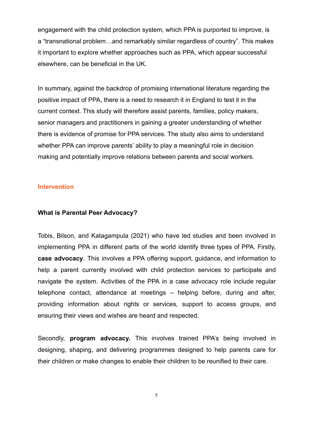engagement with the child protection system, which PPA is purported to improve, is a "transnational problem…and remarkably similar regardless of country". This makes it important to explore whether approaches such as PPA, which appear successful elsewhere, can be beneficial in the UK.

In summary, against the backdrop of promising international literature regarding the positive impact of PPA, there is a need to research it in England to test it in the current context. This study will therefore assist parents, families, policy makers, senior managers and practitioners in gaining a greater understanding of whether there is evidence of promise for PPA services. The study also aims to understand whether PPA can improve parents' ability to play a meaningful role in decision making and potentially improve relations between parents and social workers.

#### <span id="page-4-0"></span>**Intervention**

#### **What is Parental Peer Advocacy?**

Tobis, Bilson, and Katagampula (2021) who have led studies and been involved in implementing PPA in different parts of the world identify three types of PPA. Firstly, **case advocacy**. This involves a PPA offering support, guidance, and information to help a parent currently involved with child protection services to participate and navigate the system. Activities of the PPA in a case advocacy role include regular telephone contact, attendance at meetings – helping before, during and after, providing information about rights or services, support to access groups, and ensuring their views and wishes are heard and respected.

Secondly, **program advocacy.** This involves trained PPA's being involved in designing, shaping, and delivering programmes designed to help parents care for their children or make changes to enable their children to be reunified to their care.

5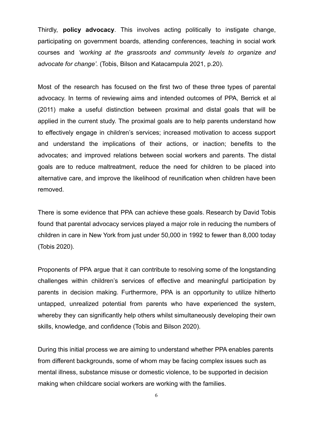Thirdly, **policy advocacy**. This involves acting politically to instigate change, participating on government boards, attending conferences, teaching in social work courses and *'working at the grassroots and community levels to organize and advocate for change'.* (Tobis, Bilson and Katacampula 2021, p.20).

Most of the research has focused on the first two of these three types of parental advocacy. In terms of reviewing aims and intended outcomes of PPA, Berrick et al (2011) make a useful distinction between proximal and distal goals that will be applied in the current study. The proximal goals are to help parents understand how to effectively engage in children's services; increased motivation to access support and understand the implications of their actions, or inaction; benefits to the advocates; and improved relations between social workers and parents. The distal goals are to reduce maltreatment, reduce the need for children to be placed into alternative care, and improve the likelihood of reunification when children have been removed.

There is some evidence that PPA can achieve these goals. Research by David Tobis found that parental advocacy services played a major role in reducing the numbers of children in care in New York from just under 50,000 in 1992 to fewer than 8,000 today (Tobis 2020).

Proponents of PPA argue that it can contribute to resolving some of the longstanding challenges within children's services of effective and meaningful participation by parents in decision making. Furthermore, PPA is an opportunity to utilize hitherto untapped, unrealized potential from parents who have experienced the system, whereby they can significantly help others whilst simultaneously developing their own skills, knowledge, and confidence (Tobis and Bilson 2020).

During this initial process we are aiming to understand whether PPA enables parents from different backgrounds, some of whom may be facing complex issues such as mental illness, substance misuse or domestic violence, to be supported in decision making when childcare social workers are working with the families.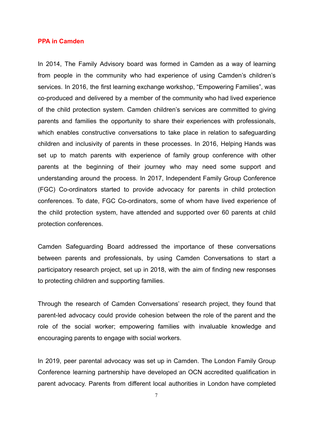#### **PPA in Camden**

In 2014, The Family Advisory board was formed in Camden as a way of learning from people in the community who had experience of using Camden's children's services. In 2016, the first learning exchange workshop, "Empowering Families", was co-produced and delivered by a member of the community who had lived experience of the child protection system. Camden children's services are committed to giving parents and families the opportunity to share their experiences with professionals, which enables constructive conversations to take place in relation to safeguarding children and inclusivity of parents in these processes. In 2016, Helping Hands was set up to match parents with experience of family group conference with other parents at the beginning of their journey who may need some support and understanding around the process. In 2017, Independent Family Group Conference (FGC) Co-ordinators started to provide advocacy for parents in child protection conferences. To date, FGC Co-ordinators, some of whom have lived experience of the child protection system, have attended and supported over 60 parents at child protection conferences.

Camden Safeguarding Board addressed the importance of these conversations between parents and professionals, by using Camden Conversations to start a participatory research project, set up in 2018, with the aim of finding new responses to protecting children and supporting families.

Through the research of Camden Conversations' research project, they found that parent-led advocacy could provide cohesion between the role of the parent and the role of the social worker; empowering families with invaluable knowledge and encouraging parents to engage with social workers.

In 2019, peer parental advocacy was set up in Camden. The London Family Group Conference learning partnership have developed an OCN accredited qualification in parent advocacy. Parents from different local authorities in London have completed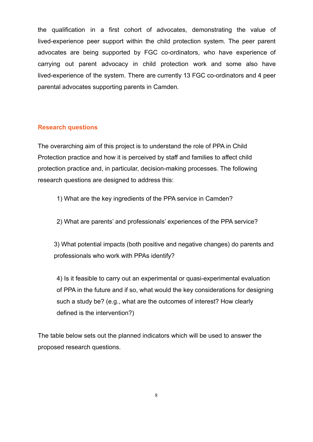the qualification in a first cohort of advocates, demonstrating the value of lived-experience peer support within the child protection system. The peer parent advocates are being supported by FGC co-ordinators, who have experience of carrying out parent advocacy in child protection work and some also have lived-experience of the system. There are currently 13 FGC co-ordinators and 4 peer parental advocates supporting parents in Camden.

# <span id="page-7-0"></span>**Research questions**

The overarching aim of this project is to understand the role of PPA in Child Protection practice and how it is perceived by staff and families to affect child protection practice and, in particular, decision-making processes. The following research questions are designed to address this:

- 1) What are the key ingredients of the PPA service in Camden?
- 2) What are parents' and professionals' experiences of the PPA service?

3) What potential impacts (both positive and negative changes) do parents and professionals who work with PPAs identify?

4) Is it feasible to carry out an experimental or quasi-experimental evaluation of PPA in the future and if so, what would the key considerations for designing such a study be? (e.g., what are the outcomes of interest? How clearly defined is the intervention?)

The table below sets out the planned indicators which will be used to answer the proposed research questions.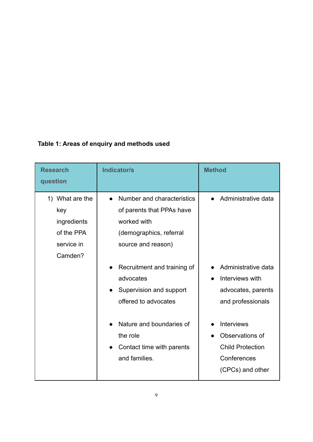|  |  | Table 1: Areas of enquiry and methods used |  |
|--|--|--------------------------------------------|--|
|  |  |                                            |  |

| <b>Research</b><br>question                                                  | Indicator/s                                                                                                                                                                                                                                                                                                               | <b>Method</b>                                                                                                                                                                                                  |
|------------------------------------------------------------------------------|---------------------------------------------------------------------------------------------------------------------------------------------------------------------------------------------------------------------------------------------------------------------------------------------------------------------------|----------------------------------------------------------------------------------------------------------------------------------------------------------------------------------------------------------------|
| 1) What are the<br>key<br>ingredients<br>of the PPA<br>service in<br>Camden? | Number and characteristics<br>$\bullet$<br>of parents that PPAs have<br>worked with<br>(demographics, referral<br>source and reason)<br>Recruitment and training of<br>advocates<br>Supervision and support<br>offered to advocates<br>Nature and boundaries of<br>the role<br>Contact time with parents<br>and families. | Administrative data<br>Administrative data<br>Interviews with<br>advocates, parents<br>and professionals<br><b>Interviews</b><br>Observations of<br><b>Child Protection</b><br>Conferences<br>(CPCs) and other |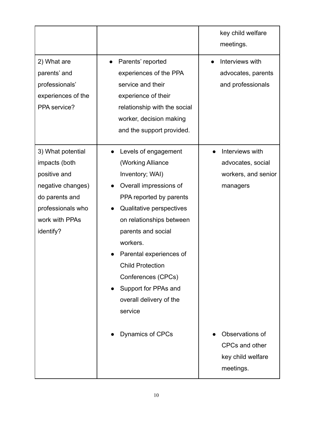|                                                                                                                                               |                                                                                                                                                                                                                                                                                                                                                                           | key child welfare<br>meetings.                                                             |
|-----------------------------------------------------------------------------------------------------------------------------------------------|---------------------------------------------------------------------------------------------------------------------------------------------------------------------------------------------------------------------------------------------------------------------------------------------------------------------------------------------------------------------------|--------------------------------------------------------------------------------------------|
| 2) What are<br>parents' and<br>professionals'<br>experiences of the<br>PPA service?                                                           | Parents' reported<br>experiences of the PPA<br>service and their<br>experience of their<br>relationship with the social<br>worker, decision making<br>and the support provided.                                                                                                                                                                                           | Interviews with<br>advocates, parents<br>and professionals                                 |
| 3) What potential<br>impacts (both<br>positive and<br>negative changes)<br>do parents and<br>professionals who<br>work with PPAs<br>identify? | Levels of engagement<br>(Working Alliance<br>Inventory; WAI)<br>Overall impressions of<br>PPA reported by parents<br>Qualitative perspectives<br>on relationships between<br>parents and social<br>workers.<br>Parental experiences of<br><b>Child Protection</b><br>Conferences (CPCs)<br>Support for PPAs and<br>overall delivery of the<br>service<br>Dynamics of CPCs | Interviews with<br>advocates, social<br>workers, and senior<br>managers<br>Observations of |
|                                                                                                                                               |                                                                                                                                                                                                                                                                                                                                                                           | CPCs and other<br>key child welfare<br>meetings.                                           |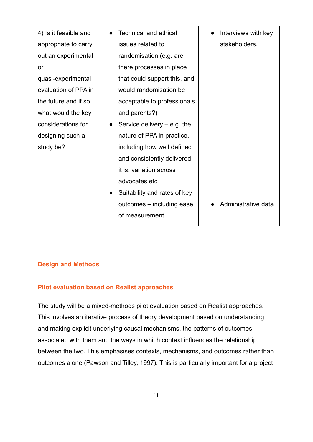| 4) Is it feasible and | <b>Technical and ethical</b>               | Interviews with key |
|-----------------------|--------------------------------------------|---------------------|
| appropriate to carry  | issues related to                          | stakeholders.       |
| out an experimental   | randomisation (e.g. are                    |                     |
| or                    | there processes in place                   |                     |
| quasi-experimental    | that could support this, and               |                     |
| evaluation of PPA in  | would randomisation be                     |                     |
| the future and if so, | acceptable to professionals                |                     |
| what would the key    | and parents?)                              |                     |
| considerations for    | Service delivery $-$ e.g. the<br>$\bullet$ |                     |
| designing such a      | nature of PPA in practice,                 |                     |
| study be?             | including how well defined                 |                     |
|                       | and consistently delivered                 |                     |
|                       | it is, variation across                    |                     |
|                       | advocates etc                              |                     |
|                       | Suitability and rates of key<br>$\bullet$  |                     |
|                       | outcomes – including ease                  | Administrative data |
|                       | of measurement                             |                     |
|                       |                                            |                     |

## **Design and Methods**

## **Pilot evaluation based on Realist approaches**

The study will be a mixed-methods pilot evaluation based on Realist approaches. This involves an iterative process of theory development based on understanding and making explicit underlying causal mechanisms, the patterns of outcomes associated with them and the ways in which context influences the relationship between the two. This emphasises contexts, mechanisms, and outcomes rather than outcomes alone (Pawson and Tilley, 1997). This is particularly important for a project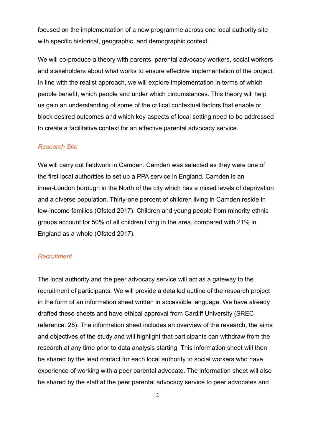focused on the implementation of a new programme across one local authority site with specific historical, geographic, and demographic context.

We will co-produce a theory with parents, parental advocacy workers, social workers and stakeholders about what works to ensure effective implementation of the project. In line with the realist approach, we will explore implementation in terms of which people benefit, which people and under which circumstances. This theory will help us gain an understanding of some of the critical contextual factors that enable or block desired outcomes and which key aspects of local setting need to be addressed to create a facilitative context for an effective parental advocacy service.

## *Research Site*

We will carry out fieldwork in Camden. Camden was selected as they were one of the first local authorities to set up a PPA service in England. Camden is an inner-London borough in the North of the city which has a mixed levels of deprivation and a diverse population. Thirty-one percent of children living in Camden reside in low-income families (Ofsted 2017). Children and young people from minority ethnic groups account for 50% of all children living in the area, compared with 21% in England as a whole (Ofsted 2017).

## *Recruitment*

The local authority and the peer advocacy service will act as a gateway to the recruitment of participants. We will provide a detailed outline of the research project in the form of an information sheet written in accessible language. We have already drafted these sheets and have ethical approval from Cardiff University (SREC reference: 28). The information sheet includes an overview of the research, the aims and objectives of the study and will highlight that participants can withdraw from the research at any time prior to data analysis starting. This information sheet will then be shared by the lead contact for each local authority to social workers who have experience of working with a peer parental advocate. The information sheet will also be shared by the staff at the peer parental advocacy service to peer advocates and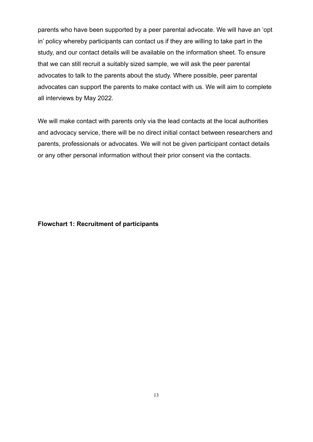parents who have been supported by a peer parental advocate. We will have an 'opt in' policy whereby participants can contact us if they are willing to take part in the study, and our contact details will be available on the information sheet. To ensure that we can still recruit a suitably sized sample, we will ask the peer parental advocates to talk to the parents about the study. Where possible, peer parental advocates can support the parents to make contact with us. We will aim to complete all interviews by May 2022.

We will make contact with parents only via the lead contacts at the local authorities and advocacy service, there will be no direct initial contact between researchers and parents, professionals or advocates. We will not be given participant contact details or any other personal information without their prior consent via the contacts.

### **Flowchart 1: Recruitment of participants**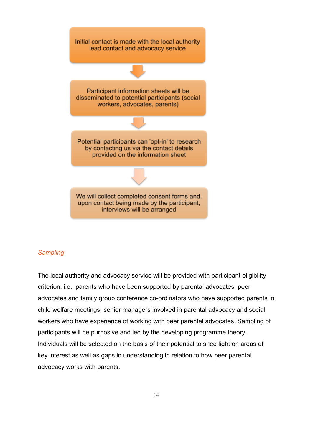

## *Sampling*

The local authority and advocacy service will be provided with participant eligibility criterion, i.e., parents who have been supported by parental advocates, peer advocates and family group conference co-ordinators who have supported parents in child welfare meetings, senior managers involved in parental advocacy and social workers who have experience of working with peer parental advocates. Sampling of participants will be purposive and led by the developing programme theory. Individuals will be selected on the basis of their potential to shed light on areas of key interest as well as gaps in understanding in relation to how peer parental advocacy works with parents.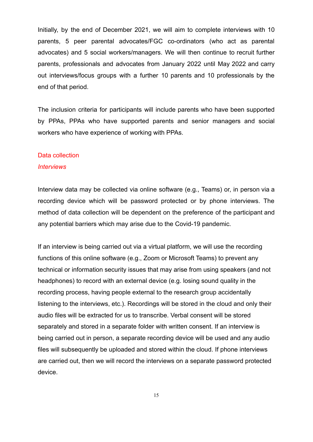Initially, by the end of December 2021, we will aim to complete interviews with 10 parents, 5 peer parental advocates/FGC co-ordinators (who act as parental advocates) and 5 social workers/managers. We will then continue to recruit further parents, professionals and advocates from January 2022 until May 2022 and carry out interviews/focus groups with a further 10 parents and 10 professionals by the end of that period.

The inclusion criteria for participants will include parents who have been supported by PPAs, PPAs who have supported parents and senior managers and social workers who have experience of working with PPAs.

# Data collection

#### *Interviews*

Interview data may be collected via online software (e.g., Teams) or, in person via a recording device which will be password protected or by phone interviews. The method of data collection will be dependent on the preference of the participant and any potential barriers which may arise due to the Covid-19 pandemic.

If an interview is being carried out via a virtual platform, we will use the recording functions of this online software (e.g., Zoom or Microsoft Teams) to prevent any technical or information security issues that may arise from using speakers (and not headphones) to record with an external device (e.g. losing sound quality in the recording process, having people external to the research group accidentally listening to the interviews, etc.). Recordings will be stored in the cloud and only their audio files will be extracted for us to transcribe. Verbal consent will be stored separately and stored in a separate folder with written consent. If an interview is being carried out in person, a separate recording device will be used and any audio files will subsequently be uploaded and stored within the cloud. If phone interviews are carried out, then we will record the interviews on a separate password protected device.

15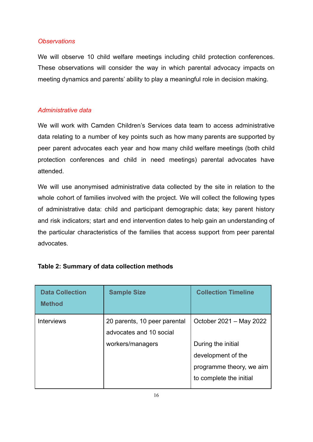## *Observations*

We will observe 10 child welfare meetings including child protection conferences. These observations will consider the way in which parental advocacy impacts on meeting dynamics and parents' ability to play a meaningful role in decision making.

# *Administrative data*

We will work with Camden Children's Services data team to access administrative data relating to a number of key points such as how many parents are supported by peer parent advocates each year and how many child welfare meetings (both child protection conferences and child in need meetings) parental advocates have attended.

We will use anonymised administrative data collected by the site in relation to the whole cohort of families involved with the project. We will collect the following types of administrative data: child and participant demographic data; key parent history and risk indicators; start and end intervention dates to help gain an understanding of the particular characteristics of the families that access support from peer parental advocates.

| <b>Data Collection</b><br><b>Method</b> | <b>Sample Size</b>                                      | <b>Collection Timeline</b>                                                                      |
|-----------------------------------------|---------------------------------------------------------|-------------------------------------------------------------------------------------------------|
| <b>Interviews</b>                       | 20 parents, 10 peer parental<br>advocates and 10 social | October 2021 – May 2022                                                                         |
|                                         | workers/managers                                        | During the initial<br>development of the<br>programme theory, we aim<br>to complete the initial |

# **Table 2: Summary of data collection methods**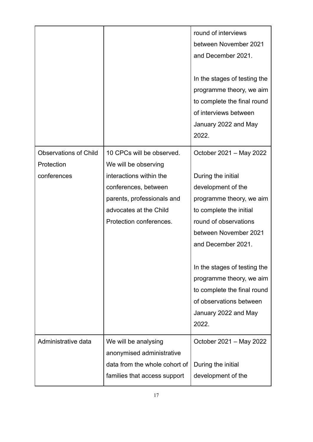|                                                           |                                                                                                                                                                                         | round of interviews<br>between November 2021<br>and December 2021.<br>In the stages of testing the<br>programme theory, we aim<br>to complete the final round<br>of interviews between<br>January 2022 and May<br>2022. |
|-----------------------------------------------------------|-----------------------------------------------------------------------------------------------------------------------------------------------------------------------------------------|-------------------------------------------------------------------------------------------------------------------------------------------------------------------------------------------------------------------------|
| <b>Observations of Child</b><br>Protection<br>conferences | 10 CPCs will be observed.<br>We will be observing<br>interactions within the<br>conferences, between<br>parents, professionals and<br>advocates at the Child<br>Protection conferences. | October 2021 - May 2022<br>During the initial<br>development of the<br>programme theory, we aim<br>to complete the initial<br>round of observations<br>between November 2021<br>and December 2021.                      |
|                                                           |                                                                                                                                                                                         | In the stages of testing the<br>programme theory, we aim<br>to complete the final round<br>of observations between<br>January 2022 and May<br>2022.                                                                     |
| Administrative data                                       | We will be analysing<br>anonymised administrative<br>data from the whole cohort of<br>families that access support                                                                      | October 2021 - May 2022<br>During the initial<br>development of the                                                                                                                                                     |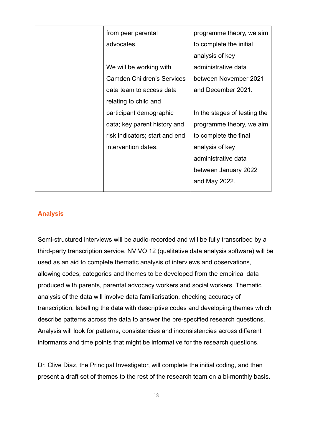| from peer parental                | programme theory, we aim     |
|-----------------------------------|------------------------------|
| advocates.                        | to complete the initial      |
|                                   | analysis of key              |
| We will be working with           | administrative data          |
| <b>Camden Children's Services</b> | between November 2021        |
| data team to access data          | and December 2021.           |
| relating to child and             |                              |
| participant demographic           | In the stages of testing the |
| data; key parent history and      | programme theory, we aim     |
| risk indicators; start and end    | to complete the final        |
| intervention dates.               | analysis of key              |
|                                   | administrative data          |
|                                   | between January 2022         |
|                                   | and May 2022.                |
|                                   |                              |

## <span id="page-17-0"></span>**Analysis**

Semi-structured interviews will be audio-recorded and will be fully transcribed by a third-party transcription service. NVIVO 12 (qualitative data analysis software) will be used as an aid to complete thematic analysis of interviews and observations, allowing codes, categories and themes to be developed from the empirical data produced with parents, parental advocacy workers and social workers. Thematic analysis of the data will involve data familiarisation, checking accuracy of transcription, labelling the data with descriptive codes and developing themes which describe patterns across the data to answer the pre-specified research questions. Analysis will look for patterns, consistencies and inconsistencies across different informants and time points that might be informative for the research questions.

Dr. Clive Diaz, the Principal Investigator, will complete the initial coding, and then present a draft set of themes to the rest of the research team on a bi-monthly basis.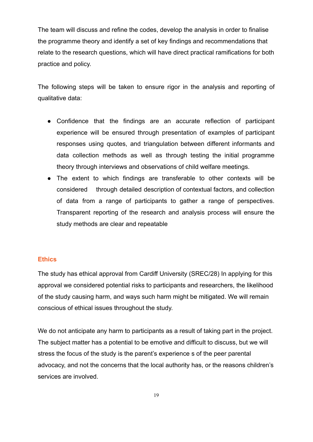The team will discuss and refine the codes, develop the analysis in order to finalise the programme theory and identify a set of key findings and recommendations that relate to the research questions, which will have direct practical ramifications for both practice and policy.

The following steps will be taken to ensure rigor in the analysis and reporting of qualitative data:

- Confidence that the findings are an accurate reflection of participant experience will be ensured through presentation of examples of participant responses using quotes, and triangulation between different informants and data collection methods as well as through testing the initial programme theory through interviews and observations of child welfare meetings.
- The extent to which findings are transferable to other contexts will be considered through detailed description of contextual factors, and collection of data from a range of participants to gather a range of perspectives. Transparent reporting of the research and analysis process will ensure the study methods are clear and repeatable

### <span id="page-18-0"></span>**Ethics**

The study has ethical approval from Cardiff University (SREC/28) In applying for this approval we considered potential risks to participants and researchers, the likelihood of the study causing harm, and ways such harm might be mitigated. We will remain conscious of ethical issues throughout the study.

We do not anticipate any harm to participants as a result of taking part in the project. The subject matter has a potential to be emotive and difficult to discuss, but we will stress the focus of the study is the parent's experience s of the peer parental advocacy, and not the concerns that the local authority has, or the reasons children's services are involved.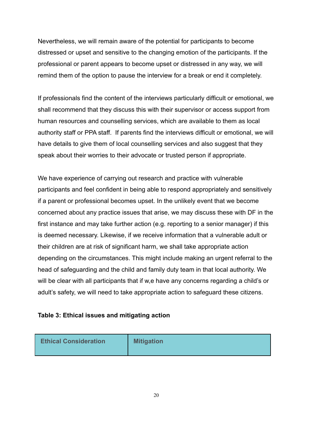Nevertheless, we will remain aware of the potential for participants to become distressed or upset and sensitive to the changing emotion of the participants. If the professional or parent appears to become upset or distressed in any way, we will remind them of the option to pause the interview for a break or end it completely.

If professionals find the content of the interviews particularly difficult or emotional, we shall recommend that they discuss this with their supervisor or access support from human resources and counselling services, which are available to them as local authority staff or PPA staff. If parents find the interviews difficult or emotional, we will have details to give them of local counselling services and also suggest that they speak about their worries to their advocate or trusted person if appropriate.

We have experience of carrying out research and practice with vulnerable participants and feel confident in being able to respond appropriately and sensitively if a parent or professional becomes upset. In the unlikely event that we become concerned about any practice issues that arise, we may discuss these with DF in the first instance and may take further action (e.g. reporting to a senior manager) if this is deemed necessary. Likewise, if we receive information that a vulnerable adult or their children are at risk of significant harm, we shall take appropriate action depending on the circumstances. This might include making an urgent referral to the head of safeguarding and the child and family duty team in that local authority. We will be clear with all participants that if w,e have any concerns regarding a child's or adult's safety, we will need to take appropriate action to safeguard these citizens.

### **Table 3: Ethical issues and mitigating action**

| <b>Ethical Consideration</b> | <b>Mitigation</b> |
|------------------------------|-------------------|
|------------------------------|-------------------|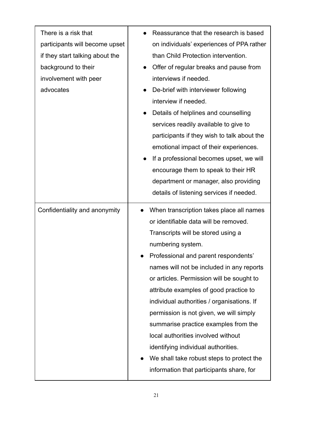| There is a risk that<br>participants will become upset<br>if they start talking about the<br>background to their<br>involvement with peer<br>advocates | Reassurance that the research is based<br>on individuals' experiences of PPA rather<br>than Child Protection intervention.<br>Offer of regular breaks and pause from<br>interviews if needed.<br>De-brief with interviewer following<br>interview if needed.<br>Details of helplines and counselling<br>services readily available to give to<br>participants if they wish to talk about the<br>emotional impact of their experiences.<br>If a professional becomes upset, we will<br>encourage them to speak to their HR<br>department or manager, also providing<br>details of listening services if needed.                  |
|--------------------------------------------------------------------------------------------------------------------------------------------------------|---------------------------------------------------------------------------------------------------------------------------------------------------------------------------------------------------------------------------------------------------------------------------------------------------------------------------------------------------------------------------------------------------------------------------------------------------------------------------------------------------------------------------------------------------------------------------------------------------------------------------------|
| Confidentiality and anonymity                                                                                                                          | When transcription takes place all names<br>or identifiable data will be removed.<br>Transcripts will be stored using a<br>numbering system.<br>Professional and parent respondents'<br>names will not be included in any reports<br>or articles. Permission will be sought to<br>attribute examples of good practice to<br>individual authorities / organisations. If<br>permission is not given, we will simply<br>summarise practice examples from the<br>local authorities involved without<br>identifying individual authorities.<br>We shall take robust steps to protect the<br>information that participants share, for |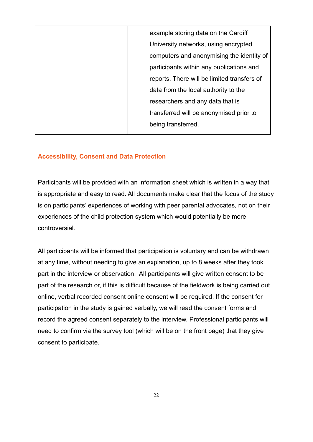| example storing data on the Cardiff         |
|---------------------------------------------|
| University networks, using encrypted        |
| computers and anonymising the identity of   |
| participants within any publications and    |
| reports. There will be limited transfers of |
| data from the local authority to the        |
| researchers and any data that is            |
| transferred will be anonymised prior to     |
| being transferred.                          |
|                                             |

## <span id="page-21-0"></span>**Accessibility, Consent and Data Protection**

Participants will be provided with an information sheet which is written in a way that is appropriate and easy to read. All documents make clear that the focus of the study is on participants' experiences of working with peer parental advocates, not on their experiences of the child protection system which would potentially be more controversial.

All participants will be informed that participation is voluntary and can be withdrawn at any time, without needing to give an explanation, up to 8 weeks after they took part in the interview or observation. All participants will give written consent to be part of the research or, if this is difficult because of the fieldwork is being carried out online, verbal recorded consent online consent will be required. If the consent for participation in the study is gained verbally, we will read the consent forms and record the agreed consent separately to the interview. Professional participants will need to confirm via the survey tool (which will be on the front page) that they give consent to participate.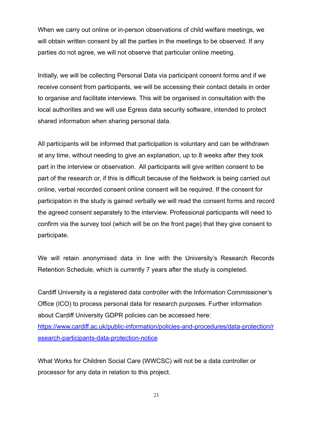When we carry out online or in-person observations of child welfare meetings, we will obtain written consent by all the parties in the meetings to be observed. If any parties do not agree, we will not observe that particular online meeting.

Initially, we will be collecting Personal Data via participant consent forms and if we receive consent from participants, we will be accessing their contact details in order to organise and facilitate interviews. This will be organised in consultation with the local authorities and we will use Egress data security software, intended to protect shared information when sharing personal data.

All participants will be informed that participation is voluntary and can be withdrawn at any time, without needing to give an explanation, up to 8 weeks after they took part in the interview or observation. All participants will give written consent to be part of the research or, if this is difficult because of the fieldwork is being carried out online, verbal recorded consent online consent will be required. If the consent for participation in the study is gained verbally we will read the consent forms and record the agreed consent separately to the interview. Professional participants will need to confirm via the survey tool (which will be on the front page) that they give consent to participate.

We will retain anonymised data in line with the University's Research Records Retention Schedule, which is currently 7 years after the study is completed.

Cardiff University is a registered data controller with the Information Commissioner's Office (ICO) to process personal data for research purposes. Further information about Cardiff University GDPR policies can be accessed here: [https://www.cardiff.ac.uk/public-information/policies-and-procedures/data-protection/r](https://www.cardiff.ac.uk/public-information/policies-and-procedures/data-protection/research-participants-data-protection-notice) [esearch-participants-data-protection-notice](https://www.cardiff.ac.uk/public-information/policies-and-procedures/data-protection/research-participants-data-protection-notice)

What Works for Children Social Care (WWCSC) will not be a data controller or processor for any data in relation to this project.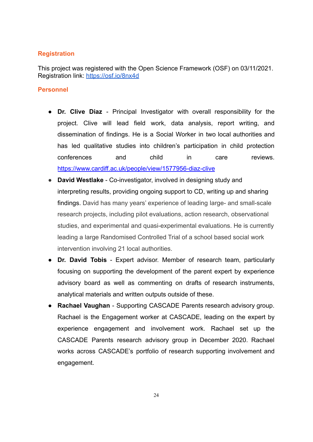## <span id="page-23-0"></span>**Registration**

This project was registered with the Open Science Framework (OSF) on 03/11/2021. Registration link: <https://osf.io/8nx4d>

## <span id="page-23-1"></span>**Personnel**

- **Dr. Clive Diaz** Principal Investigator with overall responsibility for the project. Clive will lead field work, data analysis, report writing, and dissemination of findings. He is a Social Worker in two local authorities and has led qualitative studies into children's participation in child protection conferences and child in care reviews. <https://www.cardiff.ac.uk/people/view/1577956-diaz-clive>
- **David Westlake** Co-investigator, involved in designing study and interpreting results, providing ongoing support to CD, writing up and sharing findings. David has many years' experience of leading large- and small-scale research projects, including pilot evaluations, action research, observational studies, and experimental and quasi-experimental evaluations. He is currently leading a large Randomised Controlled Trial of a school based social work intervention involving 21 local authorities.
- **Dr. David Tobis** Expert advisor. Member of research team, particularly focusing on supporting the development of the parent expert by experience advisory board as well as commenting on drafts of research instruments, analytical materials and written outputs outside of these.
- **Rachael Vaughan** Supporting CASCADE Parents research advisory group. Rachael is the Engagement worker at CASCADE, leading on the expert by experience engagement and involvement work. Rachael set up the CASCADE Parents research advisory group in December 2020. Rachael works across CASCADE's portfolio of research supporting involvement and engagement.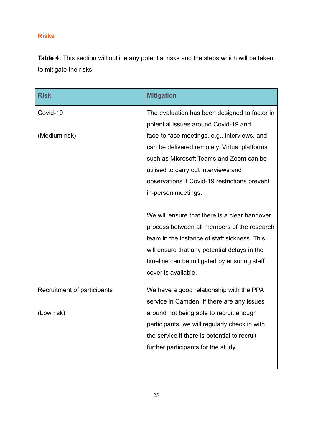# <span id="page-24-0"></span>**Risks**

**Table 4:** This section will outline any potential risks and the steps which will be taken to mitigate the risks.

| <b>Risk</b>                 | <b>Mitigation</b>                             |
|-----------------------------|-----------------------------------------------|
| Covid-19                    | The evaluation has been designed to factor in |
|                             | potential issues around Covid-19 and          |
| (Medium risk)               | face-to-face meetings, e.g., interviews, and  |
|                             | can be delivered remotely. Virtual platforms  |
|                             | such as Microsoft Teams and Zoom can be       |
|                             | utilised to carry out interviews and          |
|                             | observations if Covid-19 restrictions prevent |
|                             | in-person meetings.                           |
|                             |                                               |
|                             | We will ensure that there is a clear handover |
|                             | process between all members of the research   |
|                             | team in the instance of staff sickness. This  |
|                             | will ensure that any potential delays in the  |
|                             | timeline can be mitigated by ensuring staff   |
|                             | cover is available.                           |
| Recruitment of participants | We have a good relationship with the PPA      |
|                             | service in Camden. If there are any issues    |
| (Low risk)                  | around not being able to recruit enough       |
|                             | participants, we will regularly check in with |
|                             | the service if there is potential to recruit  |
|                             | further participants for the study.           |
|                             |                                               |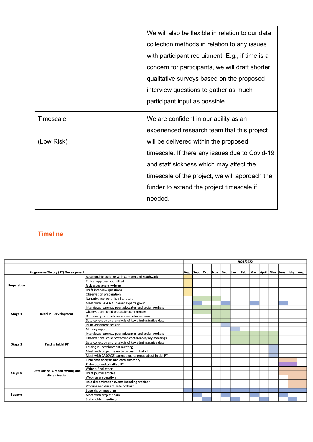|            | We will also be flexible in relation to our data |  |  |  |  |  |
|------------|--------------------------------------------------|--|--|--|--|--|
|            | collection methods in relation to any issues     |  |  |  |  |  |
|            | with participant recruitment. E.g., if time is a |  |  |  |  |  |
|            | concern for participants, we will draft shorter  |  |  |  |  |  |
|            | qualitative surveys based on the proposed        |  |  |  |  |  |
|            | interview questions to gather as much            |  |  |  |  |  |
|            | participant input as possible.                   |  |  |  |  |  |
| Timescale  | We are confident in our ability as an            |  |  |  |  |  |
|            | experienced research team that this project      |  |  |  |  |  |
| (Low Risk) | will be delivered within the proposed            |  |  |  |  |  |
|            | timescale. If there any issues due to Covid-19   |  |  |  |  |  |
|            | and staff sickness which may affect the          |  |  |  |  |  |
|            | timescale of the project, we will approach the   |  |  |  |  |  |
|            | funder to extend the project timescale if        |  |  |  |  |  |
|            | needed.                                          |  |  |  |  |  |

# <span id="page-25-0"></span>**Timeline**

|                |                                                    |                                                         | 2021/2022 |                          |  |  |  |  |     |  |  |  |  |                             |  |
|----------------|----------------------------------------------------|---------------------------------------------------------|-----------|--------------------------|--|--|--|--|-----|--|--|--|--|-----------------------------|--|
|                | Programme Theory (PT) Development                  |                                                         |           | Aug Sept Oct Nov Dec Jan |  |  |  |  | Feb |  |  |  |  | Mar April May June July Aug |  |
|                |                                                    | Relationship building with Camden and Southwark         |           |                          |  |  |  |  |     |  |  |  |  |                             |  |
|                |                                                    | Ethical approval submitted                              |           |                          |  |  |  |  |     |  |  |  |  |                             |  |
| Preparation    |                                                    | <b>Risk assessment written</b>                          |           |                          |  |  |  |  |     |  |  |  |  |                             |  |
|                |                                                    | Draft interview questions                               |           |                          |  |  |  |  |     |  |  |  |  |                             |  |
|                |                                                    | Observation preparation                                 |           |                          |  |  |  |  |     |  |  |  |  |                             |  |
| Stage 1        | <b>Initial PT Development</b>                      | Narrative review of key literature                      |           |                          |  |  |  |  |     |  |  |  |  |                             |  |
|                |                                                    | Meet with CASCADE parent experts group                  |           |                          |  |  |  |  |     |  |  |  |  |                             |  |
|                |                                                    | Interviews: parents, peer advocates and social workers  |           |                          |  |  |  |  |     |  |  |  |  |                             |  |
|                |                                                    | Observations: child protection conferences              |           |                          |  |  |  |  |     |  |  |  |  |                             |  |
|                |                                                    | Data analysis of interviews and observations            |           |                          |  |  |  |  |     |  |  |  |  |                             |  |
|                |                                                    | Data collection and analysis of key administrative data |           |                          |  |  |  |  |     |  |  |  |  |                             |  |
|                |                                                    | PT development session                                  |           |                          |  |  |  |  |     |  |  |  |  |                             |  |
|                |                                                    | Midway report                                           |           |                          |  |  |  |  |     |  |  |  |  |                             |  |
|                | <b>Testing Initial PT</b>                          | Interviews: parents, peer advocates and social workers  |           |                          |  |  |  |  |     |  |  |  |  |                             |  |
|                |                                                    | Observations: child protection conferences/key meetings |           |                          |  |  |  |  |     |  |  |  |  |                             |  |
| Stage 2        |                                                    | Data collection and analysis of key administrative data |           |                          |  |  |  |  |     |  |  |  |  |                             |  |
|                |                                                    | Testing PT development meeting                          |           |                          |  |  |  |  |     |  |  |  |  |                             |  |
|                |                                                    | Meet with project team to discuss initial PT            |           |                          |  |  |  |  |     |  |  |  |  |                             |  |
|                |                                                    | Meet with CASCADE parent experts group about initial PT |           |                          |  |  |  |  |     |  |  |  |  |                             |  |
| Stage 3        |                                                    | Final data analysis and data summary                    |           |                          |  |  |  |  |     |  |  |  |  |                             |  |
|                | Data analysis, report writing and<br>dissemination | Elaborate and prioritise PT                             |           |                          |  |  |  |  |     |  |  |  |  |                             |  |
|                |                                                    | Write a final report                                    |           |                          |  |  |  |  |     |  |  |  |  |                             |  |
|                |                                                    | Draft journal articles                                  |           |                          |  |  |  |  |     |  |  |  |  |                             |  |
|                |                                                    | Webinar preparation                                     |           |                          |  |  |  |  |     |  |  |  |  |                             |  |
|                |                                                    | Hold dissemination events including webinar             |           |                          |  |  |  |  |     |  |  |  |  |                             |  |
|                |                                                    | Produce and disseminate podcast                         |           |                          |  |  |  |  |     |  |  |  |  |                             |  |
| <b>Support</b> |                                                    | <b>Supervision meetings</b>                             |           |                          |  |  |  |  |     |  |  |  |  |                             |  |
|                |                                                    | Meet with project team                                  |           |                          |  |  |  |  |     |  |  |  |  |                             |  |
|                |                                                    | Stakeholder meetings                                    |           |                          |  |  |  |  |     |  |  |  |  |                             |  |